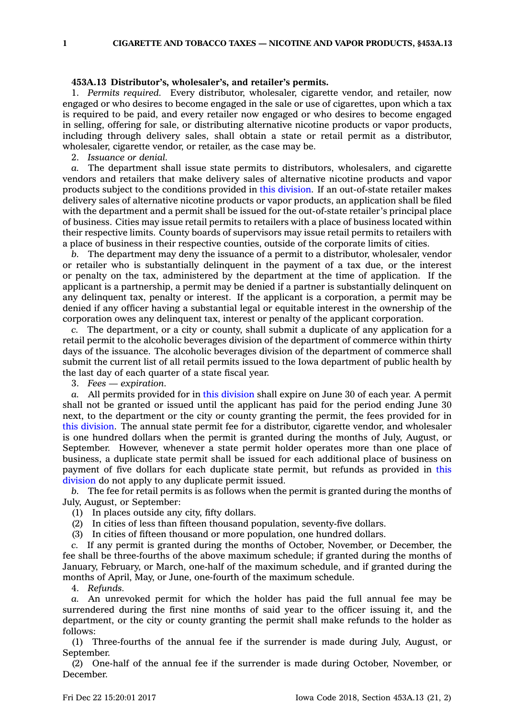**1 CIGARETTE AND TOBACCO TAXES — NICOTINE AND VAPOR PRODUCTS, §453A.13**

## **453A.13 Distributor's, wholesaler's, and retailer's permits.**

1. *Permits required.* Every distributor, wholesaler, cigarette vendor, and retailer, now engaged or who desires to become engaged in the sale or use of cigarettes, upon which <sup>a</sup> tax is required to be paid, and every retailer now engaged or who desires to become engaged in selling, offering for sale, or distributing alternative nicotine products or vapor products, including through delivery sales, shall obtain <sup>a</sup> state or retail permit as <sup>a</sup> distributor, wholesaler, cigarette vendor, or retailer, as the case may be.

2. *Issuance or denial.*

*a.* The department shall issue state permits to distributors, wholesalers, and cigarette vendors and retailers that make delivery sales of alternative nicotine products and vapor products subject to the conditions provided in this [division](https://www.legis.iowa.gov/docs/code//453A.pdf). If an out-of-state retailer makes delivery sales of alternative nicotine products or vapor products, an application shall be filed with the department and <sup>a</sup> permit shall be issued for the out-of-state retailer's principal place of business. Cities may issue retail permits to retailers with <sup>a</sup> place of business located within their respective limits. County boards of supervisors may issue retail permits to retailers with <sup>a</sup> place of business in their respective counties, outside of the corporate limits of cities.

*b.* The department may deny the issuance of <sup>a</sup> permit to <sup>a</sup> distributor, wholesaler, vendor or retailer who is substantially delinquent in the payment of <sup>a</sup> tax due, or the interest or penalty on the tax, administered by the department at the time of application. If the applicant is <sup>a</sup> partnership, <sup>a</sup> permit may be denied if <sup>a</sup> partner is substantially delinquent on any delinquent tax, penalty or interest. If the applicant is <sup>a</sup> corporation, <sup>a</sup> permit may be denied if any officer having <sup>a</sup> substantial legal or equitable interest in the ownership of the corporation owes any delinquent tax, interest or penalty of the applicant corporation.

*c.* The department, or <sup>a</sup> city or county, shall submit <sup>a</sup> duplicate of any application for <sup>a</sup> retail permit to the alcoholic beverages division of the department of commerce within thirty days of the issuance. The alcoholic beverages division of the department of commerce shall submit the current list of all retail permits issued to the Iowa department of public health by the last day of each quarter of <sup>a</sup> state fiscal year.

3. *Fees — expiration.*

*a.* All permits provided for in this [division](https://www.legis.iowa.gov/docs/code//453A.pdf) shall expire on June 30 of each year. A permit shall not be granted or issued until the applicant has paid for the period ending June 30 next, to the department or the city or county granting the permit, the fees provided for in this [division](https://www.legis.iowa.gov/docs/code//453A.pdf). The annual state permit fee for <sup>a</sup> distributor, cigarette vendor, and wholesaler is one hundred dollars when the permit is granted during the months of July, August, or September. However, whenever <sup>a</sup> state permit holder operates more than one place of business, <sup>a</sup> duplicate state permit shall be issued for each additional place of business on payment of five dollars for each duplicate state permit, but refunds as provided in [this](https://www.legis.iowa.gov/docs/code//453A.pdf) [division](https://www.legis.iowa.gov/docs/code//453A.pdf) do not apply to any duplicate permit issued.

*b.* The fee for retail permits is as follows when the permit is granted during the months of July, August, or September:

(1) In places outside any city, fifty dollars.

(2) In cities of less than fifteen thousand population, seventy-five dollars.

(3) In cities of fifteen thousand or more population, one hundred dollars.

*c.* If any permit is granted during the months of October, November, or December, the fee shall be three-fourths of the above maximum schedule; if granted during the months of January, February, or March, one-half of the maximum schedule, and if granted during the months of April, May, or June, one-fourth of the maximum schedule.

4. *Refunds.*

*a.* An unrevoked permit for which the holder has paid the full annual fee may be surrendered during the first nine months of said year to the officer issuing it, and the department, or the city or county granting the permit shall make refunds to the holder as follows:

(1) Three-fourths of the annual fee if the surrender is made during July, August, or September.

(2) One-half of the annual fee if the surrender is made during October, November, or December.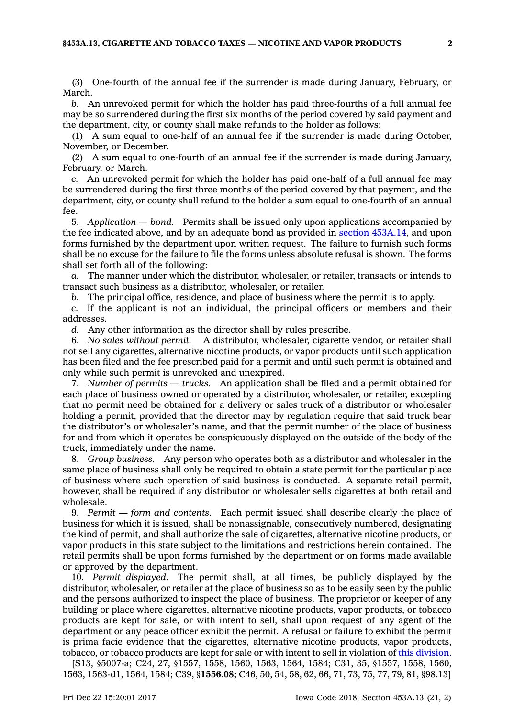(3) One-fourth of the annual fee if the surrender is made during January, February, or March.

*b.* An unrevoked permit for which the holder has paid three-fourths of <sup>a</sup> full annual fee may be so surrendered during the first six months of the period covered by said payment and the department, city, or county shall make refunds to the holder as follows:

(1) A sum equal to one-half of an annual fee if the surrender is made during October, November, or December.

(2) A sum equal to one-fourth of an annual fee if the surrender is made during January, February, or March.

*c.* An unrevoked permit for which the holder has paid one-half of <sup>a</sup> full annual fee may be surrendered during the first three months of the period covered by that payment, and the department, city, or county shall refund to the holder <sup>a</sup> sum equal to one-fourth of an annual fee.

5. *Application — bond.* Permits shall be issued only upon applications accompanied by the fee indicated above, and by an adequate bond as provided in section [453A.14](https://www.legis.iowa.gov/docs/code/453A.14.pdf), and upon forms furnished by the department upon written request. The failure to furnish such forms shall be no excuse for the failure to file the forms unless absolute refusal is shown. The forms shall set forth all of the following:

*a.* The manner under which the distributor, wholesaler, or retailer, transacts or intends to transact such business as <sup>a</sup> distributor, wholesaler, or retailer.

*b.* The principal office, residence, and place of business where the permit is to apply.

*c.* If the applicant is not an individual, the principal officers or members and their addresses.

*d.* Any other information as the director shall by rules prescribe.

6. *No sales without permit.* A distributor, wholesaler, cigarette vendor, or retailer shall not sell any cigarettes, alternative nicotine products, or vapor products until such application has been filed and the fee prescribed paid for <sup>a</sup> permit and until such permit is obtained and only while such permit is unrevoked and unexpired.

7. *Number of permits — trucks.* An application shall be filed and <sup>a</sup> permit obtained for each place of business owned or operated by <sup>a</sup> distributor, wholesaler, or retailer, excepting that no permit need be obtained for <sup>a</sup> delivery or sales truck of <sup>a</sup> distributor or wholesaler holding <sup>a</sup> permit, provided that the director may by regulation require that said truck bear the distributor's or wholesaler's name, and that the permit number of the place of business for and from which it operates be conspicuously displayed on the outside of the body of the truck, immediately under the name.

8. *Group business.* Any person who operates both as <sup>a</sup> distributor and wholesaler in the same place of business shall only be required to obtain <sup>a</sup> state permit for the particular place of business where such operation of said business is conducted. A separate retail permit, however, shall be required if any distributor or wholesaler sells cigarettes at both retail and wholesale.

9. *Permit — form and contents.* Each permit issued shall describe clearly the place of business for which it is issued, shall be nonassignable, consecutively numbered, designating the kind of permit, and shall authorize the sale of cigarettes, alternative nicotine products, or vapor products in this state subject to the limitations and restrictions herein contained. The retail permits shall be upon forms furnished by the department or on forms made available or approved by the department.

10. *Permit displayed.* The permit shall, at all times, be publicly displayed by the distributor, wholesaler, or retailer at the place of business so as to be easily seen by the public and the persons authorized to inspect the place of business. The proprietor or keeper of any building or place where cigarettes, alternative nicotine products, vapor products, or tobacco products are kept for sale, or with intent to sell, shall upon request of any agent of the department or any peace officer exhibit the permit. A refusal or failure to exhibit the permit is prima facie evidence that the cigarettes, alternative nicotine products, vapor products, tobacco, or tobacco products are kept for sale or with intent to sell in violation of this [division](https://www.legis.iowa.gov/docs/code//453A.pdf).

[S13, §5007-a; C24, 27, §1557, 1558, 1560, 1563, 1564, 1584; C31, 35, §1557, 1558, 1560, 1563, 1563-d1, 1564, 1584; C39, §**1556.08;** C46, 50, 54, 58, 62, 66, 71, 73, 75, 77, 79, 81, §98.13]